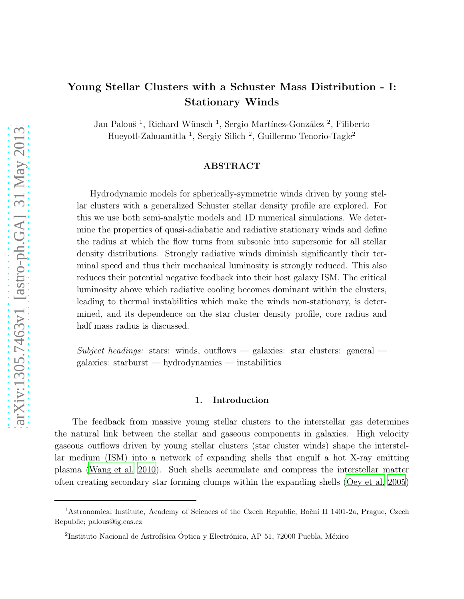# Young Stellar Clusters with a Schuster Mass Distribution - I: Stationary Winds

Jan Palouš<sup>1</sup>, Richard Wünsch<sup>1</sup>, Sergio Martínez-González<sup>2</sup>, Filiberto Hueyotl-Zahuantitla<sup>1</sup>, Sergiy Silich<sup>2</sup>, Guillermo Tenorio-Tagle<sup>2</sup>

# ABSTRACT

Hydrodynamic models for spherically-symmetric winds driven by young stellar clusters with a generalized Schuster stellar density profile are explored. For this we use both semi-analytic models and 1D numerical simulations. We determine the properties of quasi-adiabatic and radiative stationary winds and define the radius at which the flow turns from subsonic into supersonic for all stellar density distributions. Strongly radiative winds diminish significantly their terminal speed and thus their mechanical luminosity is strongly reduced. This also reduces their potential negative feedback into their host galaxy ISM. The critical luminosity above which radiative cooling becomes dominant within the clusters, leading to thermal instabilities which make the winds non-stationary, is determined, and its dependence on the star cluster density profile, core radius and half mass radius is discussed.

*Subject headings:* stars: winds, outflows — galaxies: star clusters: general galaxies: starburst — hydrodynamics — instabilities

# 1. Introduction

The feedback from massive young stellar clusters to the interstellar gas determines the natural link between the stellar and gaseous components in galaxies. High velocity gaseous outflows driven by young stellar clusters (star cluster winds) shape the interstellar medium (ISM) into a network of expanding shells that engulf a hot X-ray emitting plasma [\(Wang et al. 2010\)](#page-20-0). Such shells accumulate and compress the interstellar matter often creating secondary star forming clumps within the expanding shells [\(Oey et al. 2005\)](#page-19-0)

<sup>&</sup>lt;sup>1</sup> Astronomical Institute, Academy of Sciences of the Czech Republic, Boční II 1401-2a, Prague, Czech Republic; palous@ig.cas.cz

 $2$ Instituto Nacional de Astrofísica Óptica y Electrónica, AP 51, 72000 Puebla, México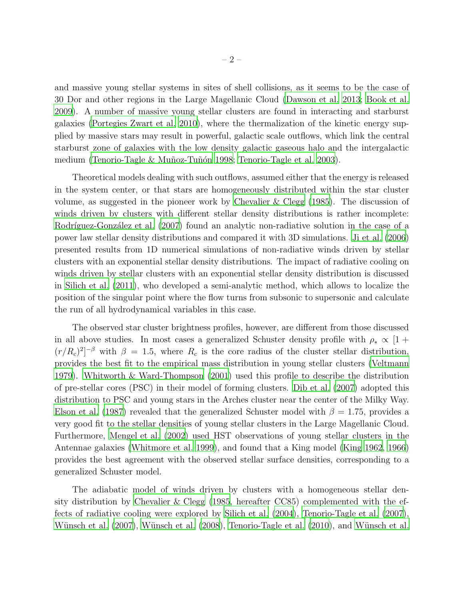and massive young stellar systems in sites of shell collisions, as it seems to be the case of 30 Dor and other regions in the Large Magellanic Cloud [\(Dawson et al. 2013;](#page-19-1) [Book et al.](#page-19-2) [2009\)](#page-19-2). A number of massive young stellar clusters are found in interacting and starburst galaxies [\(Portegies Zwart et al. 2010](#page-19-3)), where the thermalization of the kinetic energy supplied by massive stars may result in powerful, galactic scale outflows, which link the central starburst zone of galaxies with the low density galactic gaseous halo and the intergalactic medium (Tenorio-Tagle & Muñoz-Tuñón 1998; [Tenorio-Tagle et al. 2003](#page-20-2)).

Theoretical models dealing with such outflows, assumed either that the energy is released in the system center, or that stars are homogeneously distributed within the star cluster volume, as suggested in the pioneer work by [Chevalier & Clegg \(1985\)](#page-19-4). The discussion of winds driven by clusters with different stellar density distributions is rather incomplete: Rodríguez-González et al. (2007) found an analytic non-radiative solution in the case of a power law stellar density distributions and compared it with 3D simulations. [Ji et al. \(2006\)](#page-19-6) presented results from 1D numerical simulations of non-radiative winds driven by stellar clusters with an exponential stellar density distributions. The impact of radiative cooling on winds driven by stellar clusters with an exponential stellar density distribution is discussed in [Silich et al. \(2011](#page-20-3)), who developed a semi-analytic method, which allows to localize the position of the singular point where the flow turns from subsonic to supersonic and calculate the run of all hydrodynamical variables in this case.

The observed star cluster brightness profiles, however, are different from those discussed in all above studies. In most cases a generalized Schuster density profile with  $\rho_* \propto [1 +$  $(r/R_c)^2$ <sup>-β</sup> with  $\beta = 1.5$ , where  $R_c$  is the core radius of the cluster stellar distribution, provides the best fit to the empirical mass distribution in young stellar clusters [\(Veltmann](#page-20-4) [1979\)](#page-20-4). [Whitworth & Ward-Thompson \(2001\)](#page-20-5) used this profile to describe the distribution of pre-stellar cores (PSC) in their model of forming clusters. [Dib et](#page-19-7) al. [\(2007\)](#page-19-7) adopted this distribution to PSC and young stars in the Arches cluster near the center of the Milky Way. [Elson et al. \(1987](#page-19-8)) revealed that the generalized Schuster model with  $\beta = 1.75$ , provides a very good fit to the stellar densities of young stellar clusters in the Large Magellanic Cloud. Furthermore, [Mengel et al. \(2002](#page-19-9)) used HST observations of young stellar clusters in the Antennae galaxies [\(Whitmore et al. 1999](#page-20-6)), and found that a King model [\(King 1962,](#page-19-10) [1966\)](#page-19-11) provides the best agreement with the observed stellar surface densities, corresponding to a generalized Schuster model.

The adiabatic model of winds driven by clusters with a homogeneous stellar density distribution by Chevalier & Clegg  $(1985, \text{ hereafter CC85})$  complemented with the effects of radiative cooling were explored by [Silich et al. \(2004\)](#page-20-7), [Tenorio-Tagle et al. \(2007](#page-20-8)), Wünsch et al. (2007), Wünsch et al. (2008), [Tenorio-Tagle et al.](#page-20-11) [\(2010](#page-20-11)), and Wünsch et al.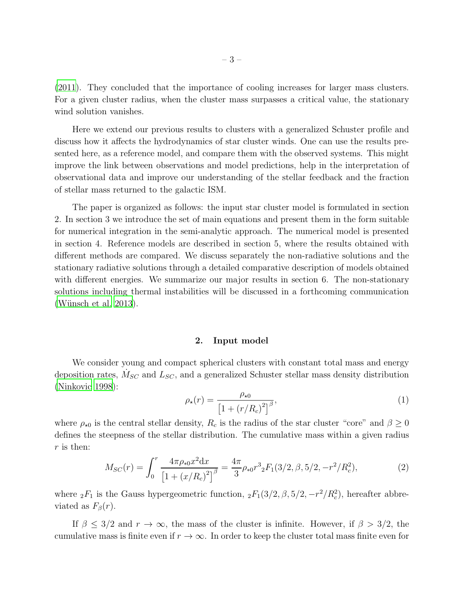[\(2011\)](#page-20-12). They concluded that the importance of cooling increases for larger mass clusters. For a given cluster radius, when the cluster mass surpasses a critical value, the stationary wind solution vanishes.

Here we extend our previous results to clusters with a generalized Schuster profile and discuss how it affects the hydrodynamics of star cluster winds. One can use the results presented here, as a reference model, and compare them with the observed systems. This might improve the link between observations and model predictions, help in the interpretation of observational data and improve our understanding of the stellar feedback and the fraction of stellar mass returned to the galactic ISM.

The paper is organized as follows: the input star cluster model is formulated in section 2. In section 3 we introduce the set of main equations and present them in the form suitable for numerical integration in the semi-analytic approach. The numerical model is presented in section 4. Reference models are described in section 5, where the results obtained with different methods are compared. We discuss separately the non-radiative solutions and the stationary radiative solutions through a detailed comparative description of models obtained with different energies. We summarize our major results in section 6. The non-stationary solutions including thermal instabilities will be discussed in a forthcoming communication (Wünsch et al. 2013).

## 2. Input model

We consider young and compact spherical clusters with constant total mass and energy deposition rates,  $\dot{M}_{SC}$  and  $L_{SC}$ , and a generalized Schuster stellar mass density distribution [\(Ninkovic 1998\)](#page-19-12):

<span id="page-2-0"></span>
$$
\rho_{\star}(r) = \frac{\rho_{\star 0}}{\left[1 + \left(r/R_c\right)^2\right]^{\beta}},\tag{1}
$$

where  $\rho_{\star0}$  is the central stellar density,  $R_c$  is the radius of the star cluster "core" and  $\beta \geq 0$ defines the steepness of the stellar distribution. The cumulative mass within a given radius r is then:

$$
M_{SC}(r) = \int_0^r \frac{4\pi \rho_{*0} x^2 dx}{\left[1 + \left(x/R_c\right)^2\right]^\beta} = \frac{4\pi}{3} \rho_{*0} r^3 {}_2F_1(3/2, \beta, 5/2, -r^2/R_c^2),\tag{2}
$$

where  ${}_2F_1$  is the Gauss hypergeometric function,  ${}_2F_1(3/2, \beta, 5/2, -r^2/R_c^2)$ , hereafter abbreviated as  $F_\beta(r)$ .

If  $\beta \leq 3/2$  and  $r \to \infty$ , the mass of the cluster is infinite. However, if  $\beta > 3/2$ , the cumulative mass is finite even if  $r \to \infty$ . In order to keep the cluster total mass finite even for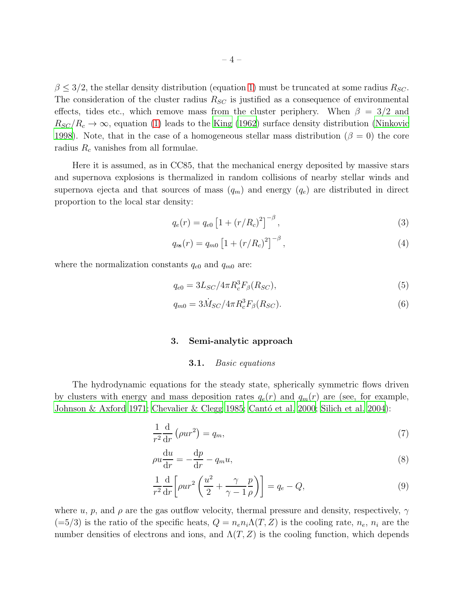$\beta \leq 3/2$ , the stellar density distribution (equation [1\)](#page-2-0) must be truncated at some radius  $R_{SC}$ . The consideration of the cluster radius  $R_{SC}$  is justified as a consequence of environmental effects, tides etc., which remove mass from the cluster periphery. When  $\beta = 3/2$  and  $R_{SC}/R_c \rightarrow \infty$ , equation [\(1\)](#page-2-0) leads to the [King \(1962\)](#page-19-10) surface density distribution [\(Ninkovic](#page-19-12) [1998\)](#page-19-12). Note, that in the case of a homogeneous stellar mass distribution ( $\beta = 0$ ) the core radius  $R_c$  vanishes from all formulae.

Here it is assumed, as in CC85, that the mechanical energy deposited by massive stars and supernova explosions is thermalized in random collisions of nearby stellar winds and supernova ejecta and that sources of mass  $(q_m)$  and energy  $(q_e)$  are distributed in direct proportion to the local star density:

<span id="page-3-1"></span>
$$
q_e(r) = q_{e0} \left[ 1 + (r/R_c)^2 \right]^{-\beta}, \tag{3}
$$

$$
q_m(r) = q_{m0} \left[ 1 + (r/R_c)^2 \right]^{-\beta}, \tag{4}
$$

where the normalization constants  $q_{e0}$  and  $q_{m0}$  are:

<span id="page-3-2"></span>
$$
q_{e0} = 3L_{SC}/4\pi R_c^3 F_\beta(R_{SC}),\tag{5}
$$

$$
q_{m0} = 3\dot{M}_{SC}/4\pi R_c^3 F_\beta(R_{SC}).
$$
\n(6)

# 3. Semi-analytic approach

#### 3.1. *Basic equations*

The hydrodynamic equations for the steady state, spherically symmetric flows driven by clusters with energy and mass deposition rates  $q_e(r)$  and  $q_m(r)$  are (see, for example, [Johnson & Axford 1971;](#page-19-13) [Chevalier & Clegg 1985](#page-19-4); Cantó et al. 2000; [Silich et al. 2004\)](#page-20-7):

<span id="page-3-0"></span>
$$
\frac{1}{r^2}\frac{\mathrm{d}}{\mathrm{d}r}\left(\rho u r^2\right) = q_m,\tag{7}
$$

$$
\rho u \frac{\mathrm{d}u}{\mathrm{d}r} = -\frac{\mathrm{d}p}{\mathrm{d}r} - q_m u,\tag{8}
$$

$$
\frac{1}{r^2}\frac{d}{dr}\left[\rho u r^2 \left(\frac{u^2}{2} + \frac{\gamma}{\gamma - 1} \frac{p}{\rho}\right)\right] = q_e - Q,\tag{9}
$$

where u, p, and  $\rho$  are the gas outflow velocity, thermal pressure and density, respectively,  $\gamma$  $(=5/3)$  is the ratio of the specific heats,  $Q = n_e n_i \Lambda(T, Z)$  is the cooling rate,  $n_e$ ,  $n_i$  are the number densities of electrons and ions, and  $\Lambda(T, Z)$  is the cooling function, which depends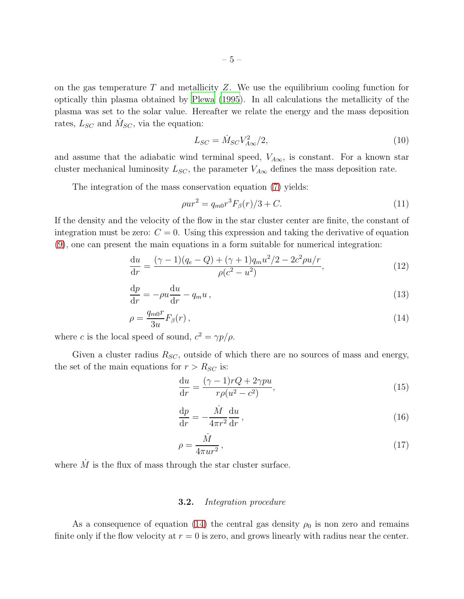on the gas temperature  $T$  and metallicity  $Z$ . We use the equilibrium cooling function for optically thin plasma obtained by [Plewa \(1995\)](#page-19-15). In all calculations the metallicity of the plasma was set to the solar value. Hereafter we relate the energy and the mass deposition rates,  $L_{SC}$  and  $\dot{M}_{SC}$ , via the equation:

<span id="page-4-1"></span>
$$
L_{SC} = \dot{M}_{SC} V_{A\infty}^2 / 2,\tag{10}
$$

and assume that the adiabatic wind terminal speed,  $V_{A\infty}$ , is constant. For a known star cluster mechanical luminosity  $L_{SC}$ , the parameter  $V_{A\infty}$  defines the mass deposition rate.

The integration of the mass conservation equation [\(7\)](#page-3-0) yields:

$$
\rho u r^2 = q_{m0} r^3 F_\beta(r) / 3 + C. \tag{11}
$$

If the density and the velocity of the flow in the star cluster center are finite, the constant of integration must be zero:  $C = 0$ . Using this expression and taking the derivative of equation [\(9\)](#page-3-0), one can present the main equations in a form suitable for numerical integration:

<span id="page-4-0"></span>
$$
\frac{du}{dr} = \frac{(\gamma - 1)(q_e - Q) + (\gamma + 1)q_m u^2/2 - 2c^2 \rho u/r}{\rho(c^2 - u^2)},
$$
\n(12)

$$
\frac{\mathrm{d}p}{\mathrm{d}r} = -\rho u \frac{\mathrm{d}u}{\mathrm{d}r} - q_m u \,,\tag{13}
$$

$$
\rho = \frac{q_{m0}r}{3u} F_{\beta}(r) ,\qquad (14)
$$

where c is the local speed of sound,  $c^2 = \gamma p/\rho$ .

Given a cluster radius  $R_{SC}$ , outside of which there are no sources of mass and energy, the set of the main equations for  $r > R_{SC}$  is:

$$
\frac{\mathrm{d}u}{\mathrm{d}r} = \frac{(\gamma - 1)rQ + 2\gamma pu}{r\rho(u^2 - c^2)},\tag{15}
$$

$$
\frac{\mathrm{d}p}{\mathrm{d}r} = -\frac{\dot{M}}{4\pi r^2} \frac{\mathrm{d}u}{\mathrm{d}r},\tag{16}
$$

$$
\rho = \frac{\dot{M}}{4\pi u r^2},\tag{17}
$$

where  $\dot{M}$  is the flux of mass through the star cluster surface.

## 3.2. *Integration procedure*

As a consequence of equation [\(14\)](#page-4-0) the central gas density  $\rho_0$  is non zero and remains finite only if the flow velocity at  $r = 0$  is zero, and grows linearly with radius near the center.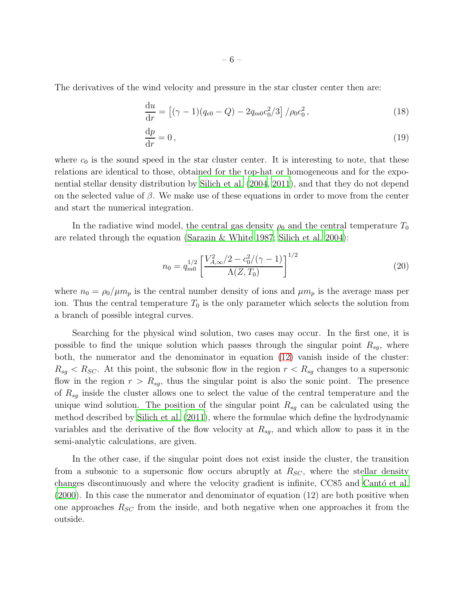The derivatives of the wind velocity and pressure in the star cluster center then are:

$$
\frac{\mathrm{d}u}{\mathrm{d}r} = \left[ (\gamma - 1)(q_{e0} - Q) - 2q_{m0}c_0^2/3 \right] / \rho_0 c_0^2, \tag{18}
$$

$$
\frac{\mathrm{d}p}{\mathrm{d}r} = 0\,,\tag{19}
$$

where  $c_0$  is the sound speed in the star cluster center. It is interesting to note, that these relations are identical to those, obtained for the top-hat or homogeneous and for the exponential stellar density distribution by [Silich et al. \(2004,](#page-20-7) [2011\)](#page-20-3), and that they do not depend on the selected value of  $\beta$ . We make use of these equations in order to move from the center and start the numerical integration.

In the radiative wind model, the central gas density  $\rho_0$  and the central temperature  $T_0$ are related through the equation (Sarazin  $\&$  White 1987; [Silich et al. 2004\)](#page-20-7):

$$
n_0 = q_{m0}^{1/2} \left[ \frac{V_{A,\infty}^2 / 2 - c_0^2 / (\gamma - 1)}{\Lambda(Z, T_0)} \right]^{1/2}
$$
 (20)

where  $n_0 = \rho_0/\mu m_p$  is the central number density of ions and  $\mu m_p$  is the average mass per ion. Thus the central temperature  $T_0$  is the only parameter which selects the solution from a branch of possible integral curves.

Searching for the physical wind solution, two cases may occur. In the first one, it is possible to find the unique solution which passes through the singular point  $R_{sq}$ , where both, the numerator and the denominator in equation [\(12\)](#page-4-0) vanish inside of the cluster:  $R_{sg} < R_{SC}$ . At this point, the subsonic flow in the region  $r < R_{sg}$  changes to a supersonic flow in the region  $r > R_{sg}$ , thus the singular point is also the sonic point. The presence of  $R_{sg}$  inside the cluster allows one to select the value of the central temperature and the unique wind solution. The position of the singular point  $R_{sq}$  can be calculated using the method described by [Silich et al. \(2011\)](#page-20-3), where the formulae which define the hydrodynamic variables and the derivative of the flow velocity at  $R_{sq}$ , and which allow to pass it in the semi-analytic calculations, are given.

In the other case, if the singular point does not exist inside the cluster, the transition from a subsonic to a supersonic flow occurs abruptly at  $R_{SC}$ , where the stellar density changes discontinuously and where the velocity gradient is infinite, CC85 and Canto et al. [\(2000\)](#page-19-14). In this case the numerator and denominator of equation (12) are both positive when one approaches  $R_{SC}$  from the inside, and both negative when one approaches it from the outside.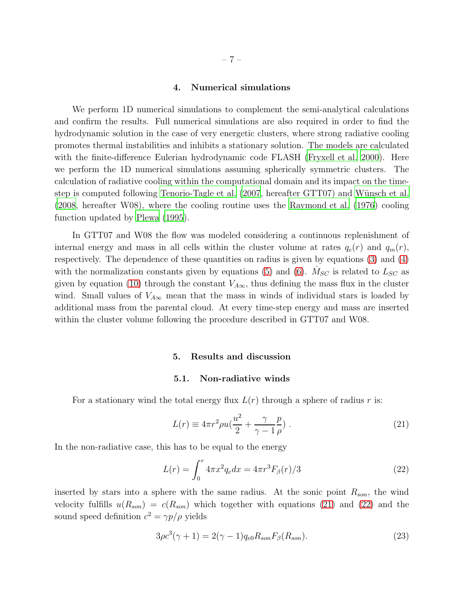## 4. Numerical simulations

We perform 1D numerical simulations to complement the semi-analytical calculations and confirm the results. Full numerical simulations are also required in order to find the hydrodynamic solution in the case of very energetic clusters, where strong radiative cooling promotes thermal instabilities and inhibits a stationary solution. The models are calculated with the finite-difference Eulerian hydrodynamic code FLASH [\(Fryxell et al. 2000](#page-19-17)). Here we perform the 1D numerical simulations assuming spherically symmetric clusters. The calculation of radiative cooling within the computational domain and its impact on the time-step is computed following [Tenorio-Tagle et al. \(2007,](#page-20-8) hereafter GTT07) and Wünsch et al. [\(2008,](#page-20-10) hereafter W08), where the cooling routine uses the [Raymond et al. \(1976](#page-19-18)) cooling function updated by [Plewa \(1995](#page-19-15)).

In GTT07 and W08 the flow was modeled considering a continuous replenishment of internal energy and mass in all cells within the cluster volume at rates  $q_e(r)$  and  $q_m(r)$ , respectively. The dependence of these quantities on radius is given by equations [\(3\)](#page-3-1) and [\(4\)](#page-3-1) with the normalization constants given by equations [\(5\)](#page-3-2) and [\(6\)](#page-3-2).  $\dot{M}_{SC}$  is related to  $L_{SC}$  as given by equation [\(10\)](#page-4-1) through the constant  $V_{A\infty}$ , thus defining the mass flux in the cluster wind. Small values of  $V_{A\infty}$  mean that the mass in winds of individual stars is loaded by additional mass from the parental cloud. At every time-step energy and mass are inserted within the cluster volume following the procedure described in GTT07 and W08.

### 5. Results and discussion

## 5.1. Non-radiative winds

For a stationary wind the total energy flux  $L(r)$  through a sphere of radius r is:

<span id="page-6-0"></span>
$$
L(r) \equiv 4\pi r^2 \rho u \left(\frac{u^2}{2} + \frac{\gamma}{\gamma - 1} \frac{p}{\rho}\right). \tag{21}
$$

In the non-radiative case, this has to be equal to the energy

<span id="page-6-1"></span>
$$
L(r) = \int_0^r 4\pi x^2 q_e dx = 4\pi r^3 F_\beta(r)/3\tag{22}
$$

inserted by stars into a sphere with the same radius. At the sonic point  $R_{son}$ , the wind velocity fulfills  $u(R_{son}) = c(R_{son})$  which together with equations [\(21\)](#page-6-0) and [\(22\)](#page-6-1) and the sound speed definition  $c^2 = \gamma p/\rho$  yields

<span id="page-6-2"></span>
$$
3\rho c^{3}(\gamma + 1) = 2(\gamma - 1)q_{e0}R_{son}F_{\beta}(R_{son}).
$$
\n(23)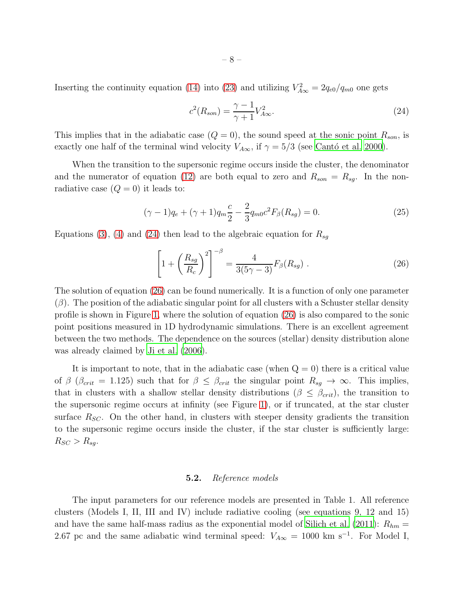<span id="page-7-0"></span>
$$
c^{2}(R_{son}) = \frac{\gamma - 1}{\gamma + 1} V_{A\infty}^{2}.
$$
\n(24)

This implies that in the adiabatic case  $(Q = 0)$ , the sound speed at the sonic point  $R_{son}$ , is exactly one half of the terminal wind velocity  $V_{A\infty}$ , if  $\gamma = 5/3$  (see Cantó et al. 2000).

When the transition to the supersonic regime occurs inside the cluster, the denominator and the numerator of equation [\(12\)](#page-4-0) are both equal to zero and  $R_{son} = R_{sg}$ . In the nonradiative case  $(Q = 0)$  it leads to:

$$
(\gamma - 1)q_e + (\gamma + 1)q_m \frac{c}{2} - \frac{2}{3}q_{m0}c^2 F_\beta(R_{sg}) = 0.
$$
 (25)

Equations [\(3\)](#page-3-1), [\(4\)](#page-3-1) and [\(24\)](#page-7-0) then lead to the algebraic equation for  $R_{sg}$ 

<span id="page-7-1"></span>
$$
\left[1+\left(\frac{R_{sg}}{R_c}\right)^2\right]^{-\beta} = \frac{4}{3(5\gamma-3)}F_{\beta}(R_{sg})\ .
$$
\n(26)

The solution of equation [\(26\)](#page-7-1) can be found numerically. It is a function of only one parameter  $(\beta)$ . The position of the adiabatic singular point for all clusters with a Schuster stellar density profile is shown in Figure [1,](#page-8-0) where the solution of equation [\(26\)](#page-7-1) is also compared to the sonic point positions measured in 1D hydrodynamic simulations. There is an excellent agreement between the two methods. The dependence on the sources (stellar) density distribution alone was already claimed by [Ji et al. \(2006](#page-19-6)).

It is important to note, that in the adiabatic case (when  $Q = 0$ ) there is a critical value of  $\beta$  ( $\beta_{crit} = 1.125$ ) such that for  $\beta \leq \beta_{crit}$  the singular point  $R_{sg} \to \infty$ . This implies, that in clusters with a shallow stellar density distributions ( $\beta \leq \beta_{crit}$ ), the transition to the supersonic regime occurs at infinity (see Figure [1\)](#page-8-0), or if truncated, at the star cluster surface  $R_{SC}$ . On the other hand, in clusters with steeper density gradients the transition to the supersonic regime occurs inside the cluster, if the star cluster is sufficiently large:  $R_{SC} > R_{sg}.$ 

# 5.2. *Reference models*

The input parameters for our reference models are presented in Table 1. All reference clusters (Models I, II, III and IV) include radiative cooling (see equations 9, 12 and 15) and have the same half-mass radius as the exponential model of [Silich et al. \(2011\)](#page-20-3):  $R_{hm} =$ 2.67 pc and the same adiabatic wind terminal speed:  $V_{A\infty} = 1000 \text{ km s}^{-1}$ . For Model I,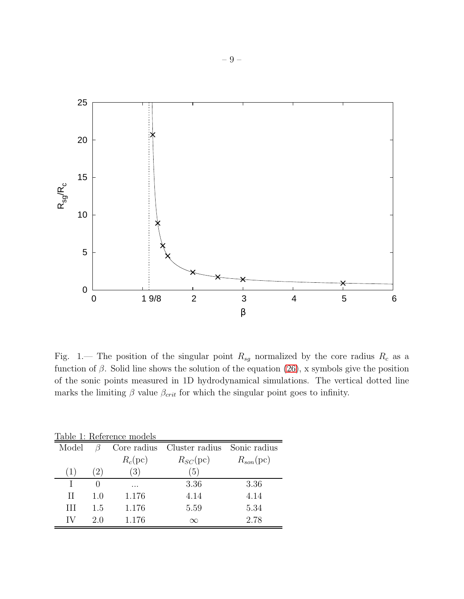

<span id="page-8-0"></span>Fig. 1.— The position of the singular point  $R_{sg}$  normalized by the core radius  $R_c$  as a function of  $\beta$ . Solid line shows the solution of the equation [\(26\)](#page-7-1), x symbols give the position of the sonic points measured in 1D hydrodynamical simulations. The vertical dotted line marks the limiting  $\beta$  value  $\beta_{crit}$  for which the singular point goes to infinity.

| Table 1: Reference models |     |            |                                         |                |
|---------------------------|-----|------------|-----------------------------------------|----------------|
| Model                     | ß   |            | Core radius Cluster radius Sonic radius |                |
|                           |     | $R_c$ (pc) | $R_{SC}$ (pc)                           | $R_{son}$ (pc) |
| (1)                       | (2) | (3)        | $\left(5\right)$                        |                |
|                           | 0   | .          | 3.36                                    | 3.36           |
| Н                         | 1.0 | 1.176      | 4.14                                    | 4.14           |
| Ш                         | 1.5 | 1.176      | 5.59                                    | 5.34           |
|                           | 2.0 | 1.176      | $\infty$                                | 2.78           |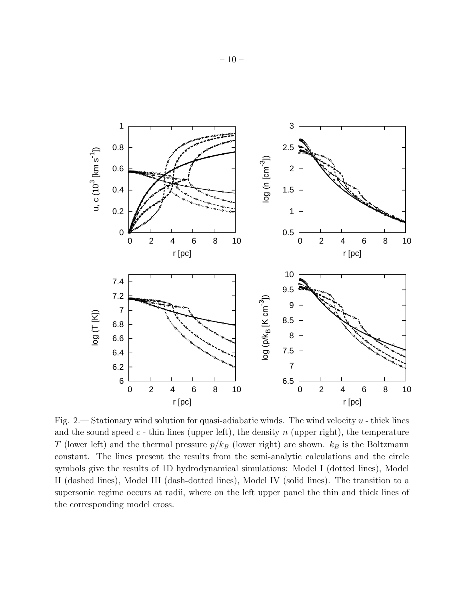

<span id="page-9-0"></span>Fig. 2.— Stationary wind solution for quasi-adiabatic winds. The wind velocity  $u$  - thick lines and the sound speed  $c$  - thin lines (upper left), the density  $n$  (upper right), the temperature T (lower left) and the thermal pressure  $p/k_B$  (lower right) are shown.  $k_B$  is the Boltzmann constant. The lines present the results from the semi-analytic calculations and the circle symbols give the results of 1D hydrodynamical simulations: Model I (dotted lines), Model II (dashed lines), Model III (dash-dotted lines), Model IV (solid lines). The transition to a supersonic regime occurs at radii, where on the left upper panel the thin and thick lines of the corresponding model cross.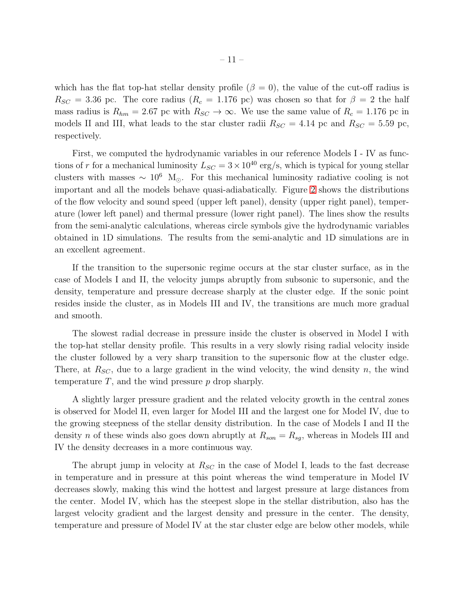which has the flat top-hat stellar density profile  $(\beta = 0)$ , the value of the cut-off radius is  $R_{SC} = 3.36$  pc. The core radius  $(R_c = 1.176$  pc) was chosen so that for  $\beta = 2$  the half mass radius is  $R_{hm} = 2.67$  pc with  $R_{SC} \rightarrow \infty$ . We use the same value of  $R_c = 1.176$  pc in models II and III, what leads to the star cluster radii  $R_{SC} = 4.14$  pc and  $R_{SC} = 5.59$  pc, respectively.

First, we computed the hydrodynamic variables in our reference Models I - IV as functions of r for a mechanical luminosity  $L_{SC} = 3 \times 10^{40} \text{ erg/s}$ , which is typical for young stellar clusters with masses  $\sim 10^6$  M<sub>☉</sub>. For this mechanical luminosity radiative cooling is not important and all the models behave quasi-adiabatically. Figure [2](#page-9-0) shows the distributions of the flow velocity and sound speed (upper left panel), density (upper right panel), temperature (lower left panel) and thermal pressure (lower right panel). The lines show the results from the semi-analytic calculations, whereas circle symbols give the hydrodynamic variables obtained in 1D simulations. The results from the semi-analytic and 1D simulations are in an excellent agreement.

If the transition to the supersonic regime occurs at the star cluster surface, as in the case of Models I and II, the velocity jumps abruptly from subsonic to supersonic, and the density, temperature and pressure decrease sharply at the cluster edge. If the sonic point resides inside the cluster, as in Models III and IV, the transitions are much more gradual and smooth.

The slowest radial decrease in pressure inside the cluster is observed in Model I with the top-hat stellar density profile. This results in a very slowly rising radial velocity inside the cluster followed by a very sharp transition to the supersonic flow at the cluster edge. There, at  $R_{SC}$ , due to a large gradient in the wind velocity, the wind density n, the wind temperature  $T$ , and the wind pressure  $p$  drop sharply.

A slightly larger pressure gradient and the related velocity growth in the central zones is observed for Model II, even larger for Model III and the largest one for Model IV, due to the growing steepness of the stellar density distribution. In the case of Models I and II the density n of these winds also goes down abruptly at  $R_{son} = R_{sg}$ , whereas in Models III and IV the density decreases in a more continuous way.

The abrupt jump in velocity at  $R_{SC}$  in the case of Model I, leads to the fast decrease in temperature and in pressure at this point whereas the wind temperature in Model IV decreases slowly, making this wind the hottest and largest pressure at large distances from the center. Model IV, which has the steepest slope in the stellar distribution, also has the largest velocity gradient and the largest density and pressure in the center. The density, temperature and pressure of Model IV at the star cluster edge are below other models, while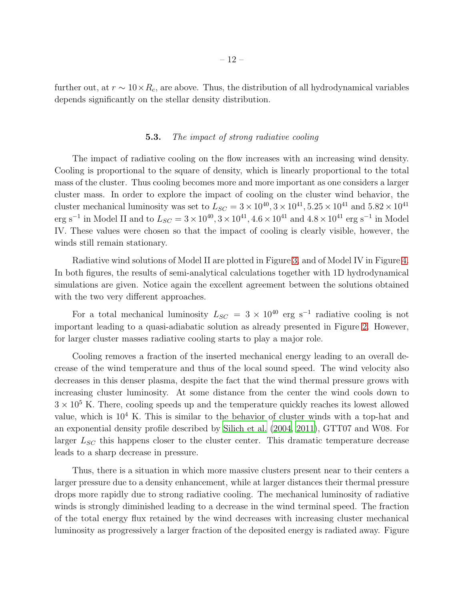further out, at  $r \sim 10 \times R_c$ , are above. Thus, the distribution of all hydrodynamical variables depends significantly on the stellar density distribution.

## 5.3. *The impact of strong radiative cooling*

The impact of radiative cooling on the flow increases with an increasing wind density. Cooling is proportional to the square of density, which is linearly proportional to the total mass of the cluster. Thus cooling becomes more and more important as one considers a larger cluster mass. In order to explore the impact of cooling on the cluster wind behavior, the cluster mechanical luminosity was set to  $L_{SC} = 3 \times 10^{40}$ ,  $3 \times 10^{41}$ ,  $5.25 \times 10^{41}$  and  $5.82 \times 10^{41}$ erg s<sup>-1</sup> in Model II and to  $L_{SC} = 3 \times 10^{40}$ ,  $3 \times 10^{41}$ ,  $4.6 \times 10^{41}$  and  $4.8 \times 10^{41}$  erg s<sup>-1</sup> in Model IV. These values were chosen so that the impact of cooling is clearly visible, however, the winds still remain stationary.

Radiative wind solutions of Model II are plotted in Figure [3,](#page-12-0) and of Model IV in Figure [4.](#page-13-0) In both figures, the results of semi-analytical calculations together with 1D hydrodynamical simulations are given. Notice again the excellent agreement between the solutions obtained with the two very different approaches.

For a total mechanical luminosity  $L_{SC} = 3 \times 10^{40}$  erg s<sup>-1</sup> radiative cooling is not important leading to a quasi-adiabatic solution as already presented in Figure [2.](#page-9-0) However, for larger cluster masses radiative cooling starts to play a major role.

Cooling removes a fraction of the inserted mechanical energy leading to an overall decrease of the wind temperature and thus of the local sound speed. The wind velocity also decreases in this denser plasma, despite the fact that the wind thermal pressure grows with increasing cluster luminosity. At some distance from the center the wind cools down to  $3 \times 10^5$  K. There, cooling speeds up and the temperature quickly reaches its lowest allowed value, which is 10<sup>4</sup> K. This is similar to the behavior of cluster winds with a top-hat and an exponential density profile described by [Silich et al. \(2004](#page-20-7), [2011\)](#page-20-3), GTT07 and W08. For larger  $L_{SC}$  this happens closer to the cluster center. This dramatic temperature decrease leads to a sharp decrease in pressure.

Thus, there is a situation in which more massive clusters present near to their centers a larger pressure due to a density enhancement, while at larger distances their thermal pressure drops more rapidly due to strong radiative cooling. The mechanical luminosity of radiative winds is strongly diminished leading to a decrease in the wind terminal speed. The fraction of the total energy flux retained by the wind decreases with increasing cluster mechanical luminosity as progressively a larger fraction of the deposited energy is radiated away. Figure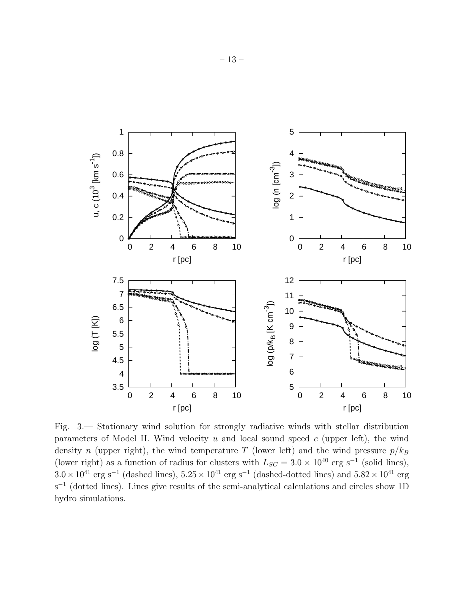

<span id="page-12-0"></span>Fig. 3.— Stationary wind solution for strongly radiative winds with stellar distribution parameters of Model II. Wind velocity  $u$  and local sound speed  $c$  (upper left), the wind density n (upper right), the wind temperature T (lower left) and the wind pressure  $p/k_B$ (lower right) as a function of radius for clusters with  $L_{SC} = 3.0 \times 10^{40}$  erg s<sup>-1</sup> (solid lines),  $3.0 \times 10^{41}$  erg s<sup>-1</sup> (dashed lines),  $5.25 \times 10^{41}$  erg s<sup>-1</sup> (dashed-dotted lines) and  $5.82 \times 10^{41}$  erg s<sup>-1</sup> (dotted lines). Lines give results of the semi-analytical calculations and circles show 1D hydro simulations.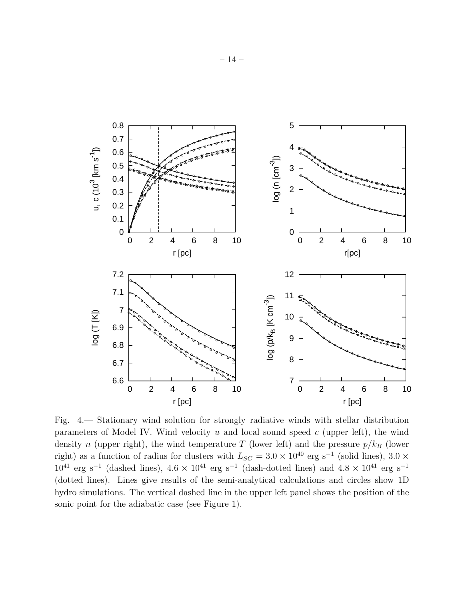

<span id="page-13-0"></span>Fig. 4.— Stationary wind solution for strongly radiative winds with stellar distribution parameters of Model IV. Wind velocity  $u$  and local sound speed  $c$  (upper left), the wind density n (upper right), the wind temperature T (lower left) and the pressure  $p/k_B$  (lower right) as a function of radius for clusters with  $L_{SC} = 3.0 \times 10^{40}$  erg s<sup>-1</sup> (solid lines), 3.0 ×  $10^{41}$  erg s<sup>-1</sup> (dashed lines),  $4.6 \times 10^{41}$  erg s<sup>-1</sup> (dash-dotted lines) and  $4.8 \times 10^{41}$  erg s<sup>-1</sup> (dotted lines). Lines give results of the semi-analytical calculations and circles show 1D hydro simulations. The vertical dashed line in the upper left panel shows the position of the sonic point for the adiabatic case (see Figure 1).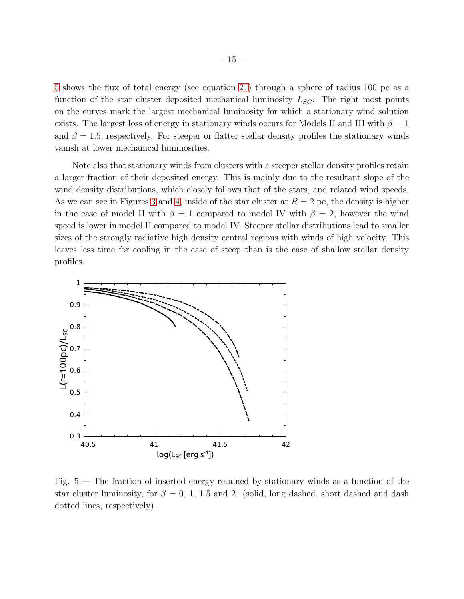[5](#page-14-0) shows the flux of total energy (see equation [21\)](#page-6-0) through a sphere of radius 100 pc as a function of the star cluster deposited mechanical luminosity  $L_{SC}$ . The right most points on the curves mark the largest mechanical luminosity for which a stationary wind solution exists. The largest loss of energy in stationary winds occurs for Models II and III with  $\beta = 1$ and  $\beta = 1.5$ , respectively. For steeper or flatter stellar density profiles the stationary winds vanish at lower mechanical luminosities.

Note also that stationary winds from clusters with a steeper stellar density profiles retain a larger fraction of their deposited energy. This is mainly due to the resultant slope of the wind density distributions, which closely follows that of the stars, and related wind speeds. As we can see in Figures [3](#page-12-0) and [4,](#page-13-0) inside of the star cluster at  $R = 2$  pc, the density is higher in the case of model II with  $\beta = 1$  compared to model IV with  $\beta = 2$ , however the wind speed is lower in model II compared to model IV. Steeper stellar distributions lead to smaller sizes of the strongly radiative high density central regions with winds of high velocity. This leaves less time for cooling in the case of steep than is the case of shallow stellar density profiles.



<span id="page-14-0"></span>Fig. 5.— The fraction of inserted energy retained by stationary winds as a function of the star cluster luminosity, for  $\beta = 0, 1, 1.5$  and 2. (solid, long dashed, short dashed and dash dotted lines, respectively)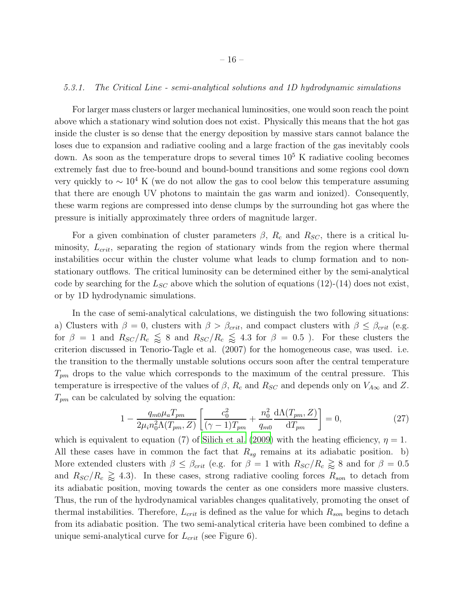# *5.3.1. The Critical Line - semi-analytical solutions and 1D hydrodynamic simulations*

For larger mass clusters or larger mechanical luminosities, one would soon reach the point above which a stationary wind solution does not exist. Physically this means that the hot gas inside the cluster is so dense that the energy deposition by massive stars cannot balance the loses due to expansion and radiative cooling and a large fraction of the gas inevitably cools down. As soon as the temperature drops to several times  $10<sup>5</sup>$  K radiative cooling becomes extremely fast due to free-bound and bound-bound transitions and some regions cool down very quickly to  $\sim 10^4$  K (we do not allow the gas to cool below this temperature assuming that there are enough UV photons to maintain the gas warm and ionized). Consequently, these warm regions are compressed into dense clumps by the surrounding hot gas where the pressure is initially approximately three orders of magnitude larger.

For a given combination of cluster parameters  $\beta$ ,  $R_c$  and  $R_{SC}$ , there is a critical luminosity,  $L_{crit}$ , separating the region of stationary winds from the region where thermal instabilities occur within the cluster volume what leads to clump formation and to nonstationary outflows. The critical luminosity can be determined either by the semi-analytical code by searching for the  $L_{SC}$  above which the solution of equations (12)-(14) does not exist, or by 1D hydrodynamic simulations.

In the case of semi-analytical calculations, we distinguish the two following situations: a) Clusters with  $\beta = 0$ , clusters with  $\beta > \beta_{crit}$ , and compact clusters with  $\beta \leq \beta_{crit}$  (e.g. for  $\beta = 1$  and  $R_{SC}/R_c \leq 8$  and  $R_{SC}/R_c \leq 4.3$  for  $\beta = 0.5$  ). For these clusters the criterion discussed in Tenorio-Tagle et al. (2007) for the homogeneous case, was used. i.e. the transition to the thermally unstable solutions occurs soon after the central temperature  $T_{pm}$  drops to the value which corresponds to the maximum of the central pressure. This temperature is irrespective of the values of  $\beta$ ,  $R_c$  and  $R_{SC}$  and depends only on  $V_{A\infty}$  and Z.  $T_{pm}$  can be calculated by solving the equation:

$$
1 - \frac{q_{m0}\mu_a T_{pm}}{2\mu_i n_0^2 \Lambda(T_{pm}, Z)} \left[ \frac{c_0^2}{(\gamma - 1)T_{pm}} + \frac{n_0^2}{q_{m0}} \frac{d\Lambda(T_{pm}, Z)}{dT_{pm}} \right] = 0, \tag{27}
$$

which is equivalent to equation (7) of [Silich et al. \(2009\)](#page-20-14) with the heating efficiency,  $\eta = 1$ . All these cases have in common the fact that  $R_{sg}$  remains at its adiabatic position. b) More extended clusters with  $\beta \leq \beta_{crit}$  (e.g. for  $\beta = 1$  with  $R_{SC}/R_c \gtrapprox 8$  and for  $\beta = 0.5$ and  $R_{SC}/R_c \ge 4.3$ ). In these cases, strong radiative cooling forces  $R_{son}$  to detach from its adiabatic position, moving towards the center as one considers more massive clusters. Thus, the run of the hydrodynamical variables changes qualitatively, promoting the onset of thermal instabilities. Therefore,  $L_{crit}$  is defined as the value for which  $R_{son}$  begins to detach from its adiabatic position. The two semi-analytical criteria have been combined to define a unique semi-analytical curve for  $L_{crit}$  (see Figure 6).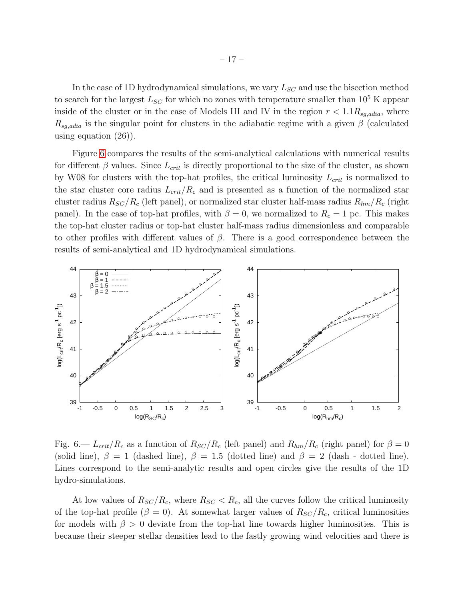In the case of 1D hydrodynamical simulations, we vary  $L_{SC}$  and use the bisection method to search for the largest  $L_{SC}$  for which no zones with temperature smaller than  $10^5$  K appear inside of the cluster or in the case of Models III and IV in the region  $r < 1.1 R_{sq, adia}$ , where  $R_{sg,adia}$  is the singular point for clusters in the adiabatic regime with a given  $\beta$  (calculated using equation (26)).

Figure [6](#page-16-0) compares the results of the semi-analytical calculations with numerical results for different  $\beta$  values. Since  $L_{crit}$  is directly proportional to the size of the cluster, as shown by W08 for clusters with the top-hat profiles, the critical luminosity  $L_{crit}$  is normalized to the star cluster core radius  $L_{crit}/R_c$  and is presented as a function of the normalized star cluster radius  $R_{SC}/R_c$  (left panel), or normalized star cluster half-mass radius  $R_{hm}/R_c$  (right panel). In the case of top-hat profiles, with  $\beta = 0$ , we normalized to  $R_c = 1$  pc. This makes the top-hat cluster radius or top-hat cluster half-mass radius dimensionless and comparable to other profiles with different values of  $\beta$ . There is a good correspondence between the results of semi-analytical and 1D hydrodynamical simulations.



<span id="page-16-0"></span>Fig. 6.—  $L_{crit}/R_c$  as a function of  $R_{SC}/R_c$  (left panel) and  $R_{hm}/R_c$  (right panel) for  $\beta = 0$ (solid line),  $\beta = 1$  (dashed line),  $\beta = 1.5$  (dotted line) and  $\beta = 2$  (dash - dotted line). Lines correspond to the semi-analytic results and open circles give the results of the 1D hydro-simulations.

At low values of  $R_{SC}/R_c$ , where  $R_{SC} < R_c$ , all the curves follow the critical luminosity of the top-hat profile ( $\beta = 0$ ). At somewhat larger values of  $R_{SC}/R_c$ , critical luminosities for models with  $\beta > 0$  deviate from the top-hat line towards higher luminosities. This is because their steeper stellar densities lead to the fastly growing wind velocities and there is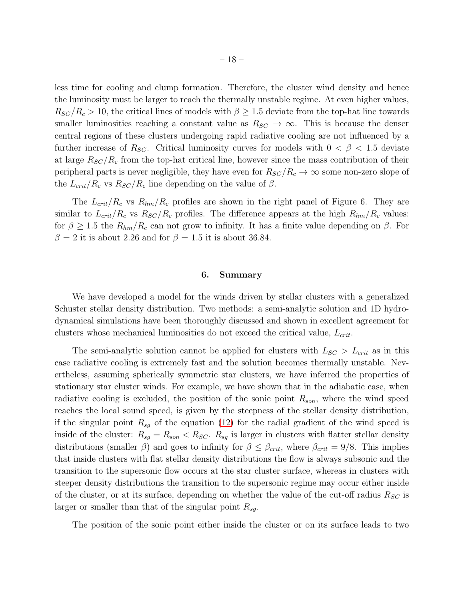less time for cooling and clump formation. Therefore, the cluster wind density and hence the luminosity must be larger to reach the thermally unstable regime. At even higher values,  $R_{SC}/R_c > 10$ , the critical lines of models with  $\beta \geq 1.5$  deviate from the top-hat line towards smaller luminosities reaching a constant value as  $R_{SC} \rightarrow \infty$ . This is because the denser central regions of these clusters undergoing rapid radiative cooling are not influenced by a further increase of  $R_{SC}$ . Critical luminosity curves for models with  $0 < \beta < 1.5$  deviate at large  $R_{SC}/R_c$  from the top-hat critical line, however since the mass contribution of their peripheral parts is never negligible, they have even for  $R_{SC}/R_c \rightarrow \infty$  some non-zero slope of the  $L_{crit}/R_c$  vs  $R_{SC}/R_c$  line depending on the value of  $\beta$ .

The  $L_{crit}/R_c$  vs  $R_{hm}/R_c$  profiles are shown in the right panel of Figure 6. They are similar to  $L_{crit}/R_c$  vs  $R_{SC}/R_c$  profiles. The difference appears at the high  $R_{hm}/R_c$  values: for  $\beta \geq 1.5$  the  $R_{hm}/R_c$  can not grow to infinity. It has a finite value depending on  $\beta$ . For  $\beta = 2$  it is about 2.26 and for  $\beta = 1.5$  it is about 36.84.

## 6. Summary

We have developed a model for the winds driven by stellar clusters with a generalized Schuster stellar density distribution. Two methods: a semi-analytic solution and 1D hydrodynamical simulations have been thoroughly discussed and shown in excellent agreement for clusters whose mechanical luminosities do not exceed the critical value,  $L_{crit}$ .

The semi-analytic solution cannot be applied for clusters with  $L_{SC} > L_{crit}$  as in this case radiative cooling is extremely fast and the solution becomes thermally unstable. Nevertheless, assuming spherically symmetric star clusters, we have inferred the properties of stationary star cluster winds. For example, we have shown that in the adiabatic case, when radiative cooling is excluded, the position of the sonic point  $R_{son}$ , where the wind speed reaches the local sound speed, is given by the steepness of the stellar density distribution, if the singular point  $R_{sq}$  of the equation [\(12\)](#page-4-0) for the radial gradient of the wind speed is inside of the cluster:  $R_{sg} = R_{son} < R_{SC}$ .  $R_{sg}$  is larger in clusters with flatter stellar density distributions (smaller  $\beta$ ) and goes to infinity for  $\beta \leq \beta_{crit}$ , where  $\beta_{crit} = 9/8$ . This implies that inside clusters with flat stellar density distributions the flow is always subsonic and the transition to the supersonic flow occurs at the star cluster surface, whereas in clusters with steeper density distributions the transition to the supersonic regime may occur either inside of the cluster, or at its surface, depending on whether the value of the cut-off radius  $R_{SC}$  is larger or smaller than that of the singular point  $R_{sg}$ .

The position of the sonic point either inside the cluster or on its surface leads to two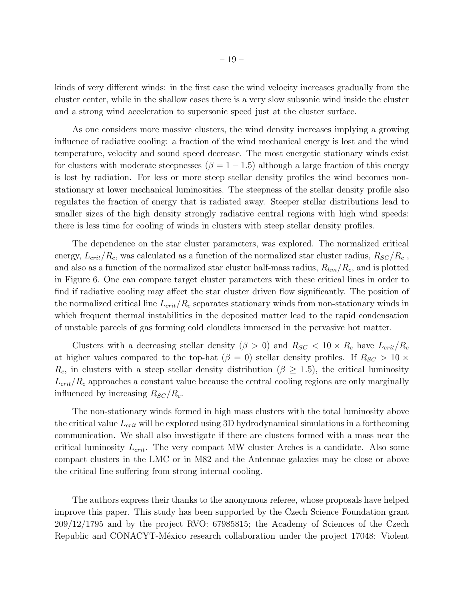kinds of very different winds: in the first case the wind velocity increases gradually from the cluster center, while in the shallow cases there is a very slow subsonic wind inside the cluster and a strong wind acceleration to supersonic speed just at the cluster surface.

As one considers more massive clusters, the wind density increases implying a growing influence of radiative cooling: a fraction of the wind mechanical energy is lost and the wind temperature, velocity and sound speed decrease. The most energetic stationary winds exist for clusters with moderate steepnesses ( $\beta = 1 - 1.5$ ) although a large fraction of this energy is lost by radiation. For less or more steep stellar density profiles the wind becomes nonstationary at lower mechanical luminosities. The steepness of the stellar density profile also regulates the fraction of energy that is radiated away. Steeper stellar distributions lead to smaller sizes of the high density strongly radiative central regions with high wind speeds: there is less time for cooling of winds in clusters with steep stellar density profiles.

The dependence on the star cluster parameters, was explored. The normalized critical energy,  $L_{crit}/R_c$ , was calculated as a function of the normalized star cluster radius,  $R_{SC}/R_c$ , and also as a function of the normalized star cluster half-mass radius,  $R_{hm}/R_c$ , and is plotted in Figure 6. One can compare target cluster parameters with these critical lines in order to find if radiative cooling may affect the star cluster driven flow significantly. The position of the normalized critical line  $L_{crit}/R_c$  separates stationary winds from non-stationary winds in which frequent thermal instabilities in the deposited matter lead to the rapid condensation of unstable parcels of gas forming cold cloudlets immersed in the pervasive hot matter.

Clusters with a decreasing stellar density ( $\beta > 0$ ) and  $R_{SC} < 10 \times R_c$  have  $L_{crit}/R_c$ at higher values compared to the top-hat ( $\beta = 0$ ) stellar density profiles. If  $R_{SC} > 10 \times$  $R_c$ , in clusters with a steep stellar density distribution ( $\beta \geq 1.5$ ), the critical luminosity  $L_{crit}/R_c$  approaches a constant value because the central cooling regions are only marginally influenced by increasing  $R_{SC}/R_c$ .

The non-stationary winds formed in high mass clusters with the total luminosity above the critical value  $L_{crit}$  will be explored using 3D hydrodynamical simulations in a forthcoming communication. We shall also investigate if there are clusters formed with a mass near the critical luminosity  $L_{crit}$ . The very compact MW cluster Arches is a candidate. Also some compact clusters in the LMC or in M82 and the Antennae galaxies may be close or above the critical line suffering from strong internal cooling.

The authors express their thanks to the anonymous referee, whose proposals have helped improve this paper. This study has been supported by the Czech Science Foundation grant 209/12/1795 and by the project RVO: 67985815; the Academy of Sciences of the Czech Republic and CONACYT-México research collaboration under the project 17048: Violent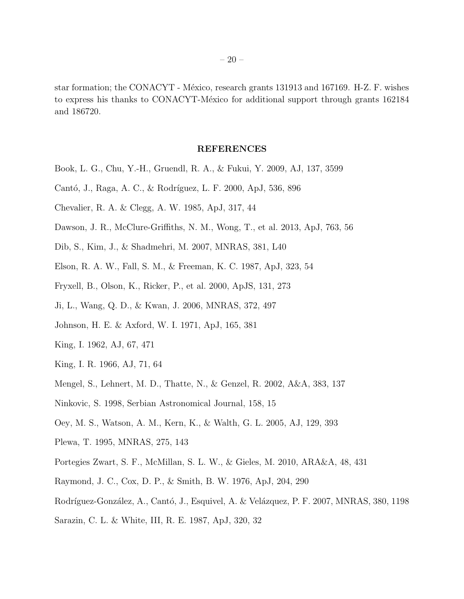star formation; the CONACYT - México, research grants 131913 and 167169. H-Z. F. wishes to express his thanks to CONACYT-México for additional support through grants 162184 and 186720.

# REFERENCES

- <span id="page-19-2"></span>Book, L. G., Chu, Y.-H., Gruendl, R. A., & Fukui, Y. 2009, AJ, 137, 3599
- <span id="page-19-14"></span>Cantó, J., Raga, A. C., & Rodríguez, L. F. 2000, ApJ, 536, 896
- <span id="page-19-4"></span>Chevalier, R. A. & Clegg, A. W. 1985, ApJ, 317, 44
- <span id="page-19-1"></span>Dawson, J. R., McClure-Griffiths, N. M., Wong, T., et al. 2013, ApJ, 763, 56
- <span id="page-19-7"></span>Dib, S., Kim, J., & Shadmehri, M. 2007, MNRAS, 381, L40
- <span id="page-19-8"></span>Elson, R. A. W., Fall, S. M., & Freeman, K. C. 1987, ApJ, 323, 54
- <span id="page-19-17"></span>Fryxell, B., Olson, K., Ricker, P., et al. 2000, ApJS, 131, 273
- <span id="page-19-6"></span>Ji, L., Wang, Q. D., & Kwan, J. 2006, MNRAS, 372, 497
- <span id="page-19-13"></span>Johnson, H. E. & Axford, W. I. 1971, ApJ, 165, 381
- <span id="page-19-10"></span>King, I. 1962, AJ, 67, 471
- <span id="page-19-11"></span>King, I. R. 1966, AJ, 71, 64
- <span id="page-19-9"></span>Mengel, S., Lehnert, M. D., Thatte, N., & Genzel, R. 2002, A&A, 383, 137
- <span id="page-19-12"></span>Ninkovic, S. 1998, Serbian Astronomical Journal, 158, 15
- <span id="page-19-0"></span>Oey, M. S., Watson, A. M., Kern, K., & Walth, G. L. 2005, AJ, 129, 393
- <span id="page-19-15"></span>Plewa, T. 1995, MNRAS, 275, 143
- <span id="page-19-3"></span>Portegies Zwart, S. F., McMillan, S. L. W., & Gieles, M. 2010, ARA&A, 48, 431
- <span id="page-19-18"></span>Raymond, J. C., Cox, D. P., & Smith, B. W. 1976, ApJ, 204, 290
- <span id="page-19-5"></span>Rodríguez-González, A., Cantó, J., Esquivel, A. & Velázquez, P. F. 2007, MNRAS, 380, 1198
- <span id="page-19-16"></span>Sarazin, C. L. & White, III, R. E. 1987, ApJ, 320, 32